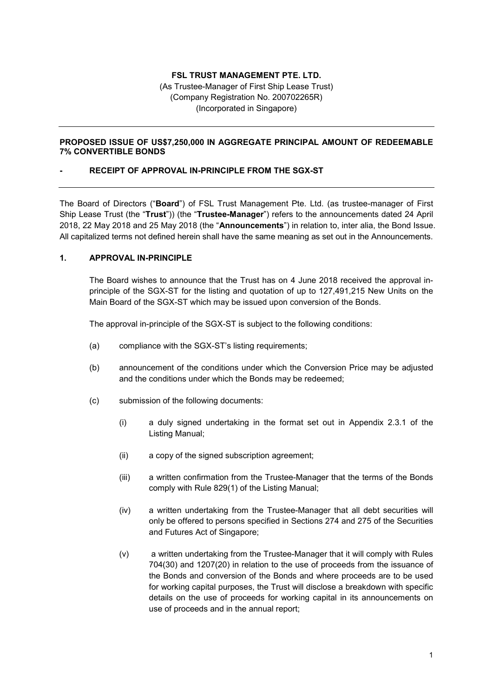## **FSL TRUST MANAGEMENT PTE. LTD.**

(As Trustee-Manager of First Ship Lease Trust) (Company Registration No. 200702265R) (Incorporated in Singapore)

#### **PROPOSED ISSUE OF US\$7,250,000 IN AGGREGATE PRINCIPAL AMOUNT OF REDEEMABLE 7% CONVERTIBLE BONDS**

### **- RECEIPT OF APPROVAL IN-PRINCIPLE FROM THE SGX-ST**

The Board of Directors ("**Board**") of FSL Trust Management Pte. Ltd. (as trustee-manager of First Ship Lease Trust (the "**Trust**")) (the "**Trustee-Manager**") refers to the announcements dated 24 April 2018, 22 May 2018 and 25 May 2018 (the "**Announcements**") in relation to, inter alia, the Bond Issue. All capitalized terms not defined herein shall have the same meaning as set out in the Announcements.

## **1. APPROVAL IN-PRINCIPLE**

The Board wishes to announce that the Trust has on 4 June 2018 received the approval inprinciple of the SGX-ST for the listing and quotation of up to 127,491,215 New Units on the Main Board of the SGX-ST which may be issued upon conversion of the Bonds.

The approval in-principle of the SGX-ST is subject to the following conditions:

- (a) compliance with the SGX-ST's listing requirements;
- (b) announcement of the conditions under which the Conversion Price may be adjusted and the conditions under which the Bonds may be redeemed;
- (c) submission of the following documents:
	- (i) a duly signed undertaking in the format set out in Appendix 2.3.1 of the Listing Manual;
	- (ii) a copy of the signed subscription agreement;
	- (iii) a written confirmation from the Trustee-Manager that the terms of the Bonds comply with Rule 829(1) of the Listing Manual;
	- (iv) a written undertaking from the Trustee-Manager that all debt securities will only be offered to persons specified in Sections 274 and 275 of the Securities and Futures Act of Singapore;
	- (v) a written undertaking from the Trustee-Manager that it will comply with Rules 704(30) and 1207(20) in relation to the use of proceeds from the issuance of the Bonds and conversion of the Bonds and where proceeds are to be used for working capital purposes, the Trust will disclose a breakdown with specific details on the use of proceeds for working capital in its announcements on use of proceeds and in the annual report;